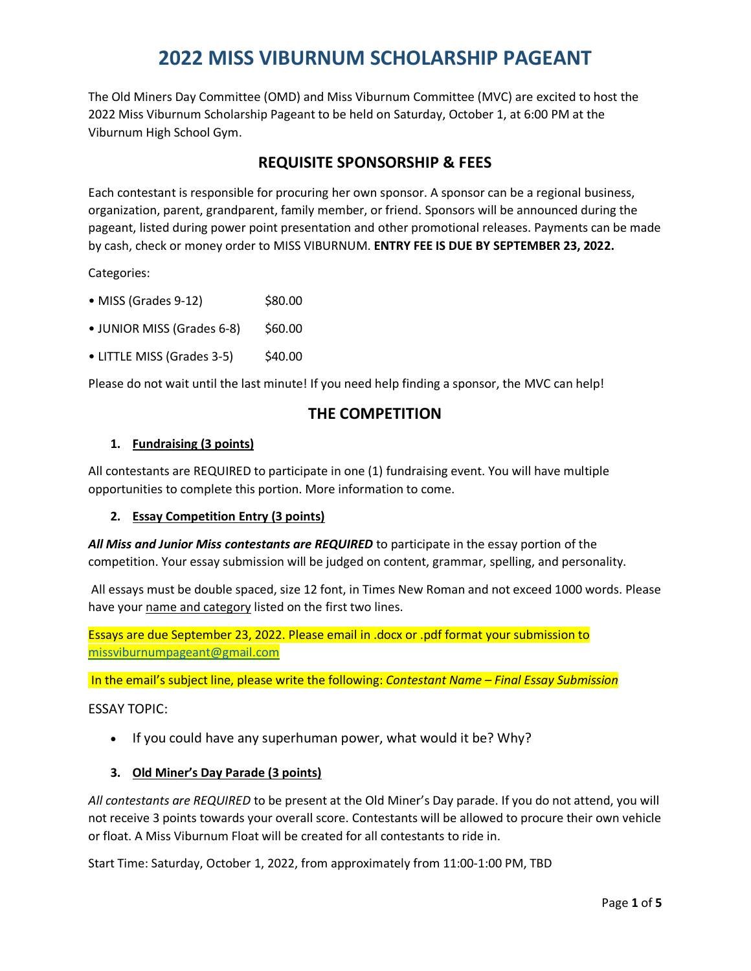The Old Miners Day Committee (OMD) and Miss Viburnum Committee (MVC) are excited to host the 2022 Miss Viburnum Scholarship Pageant to be held on Saturday, October 1, at 6:00 PM at the Viburnum High School Gym.

### **REQUISITE SPONSORSHIP & FEES**

Each contestant is responsible for procuring her own sponsor. A sponsor can be a regional business, organization, parent, grandparent, family member, or friend. Sponsors will be announced during the pageant, listed during power point presentation and other promotional releases. Payments can be made by cash, check or money order to MISS VIBURNUM. **ENTRY FEE IS DUE BY SEPTEMBER 23, 2022.**

Categories:

- $\bullet$  MISS (Grades 9-12)  $$80.00$
- $\bullet$  JUNIOR MISS (Grades 6-8)  $\lessdot$  \$60.00
- $\bullet$  LITTLE MISS (Grades 3-5)  $\$40.00$

Please do not wait until the last minute! If you need help finding a sponsor, the MVC can help!

#### **THE COMPETITION**

#### **1. Fundraising (3 points)**

All contestants are REQUIRED to participate in one (1) fundraising event. You will have multiple opportunities to complete this portion. More information to come.

#### **2. Essay Competition Entry (3 points)**

*All Miss and Junior Miss contestants are REQUIRED* to participate in the essay portion of the competition. Your essay submission will be judged on content, grammar, spelling, and personality.

All essays must be double spaced, size 12 font, in Times New Roman and not exceed 1000 words. Please have your name and category listed on the first two lines.

Essays are due September 23, 2022. Please email in .docx or .pdf format your submission to [missviburnumpageant@gmail.com](mailto:missviburnumpageant@gmail.com)

In the email's subject line, please write the following: *Contestant Name – Final Essay Submission*

#### ESSAY TOPIC:

• If you could have any superhuman power, what would it be? Why?

#### **3. Old Miner's Day Parade (3 points)**

*All contestants are REQUIRED* to be present at the Old Miner's Day parade. If you do not attend, you will not receive 3 points towards your overall score. Contestants will be allowed to procure their own vehicle or float. A Miss Viburnum Float will be created for all contestants to ride in.

Start Time: Saturday, October 1, 2022, from approximately from 11:00-1:00 PM, TBD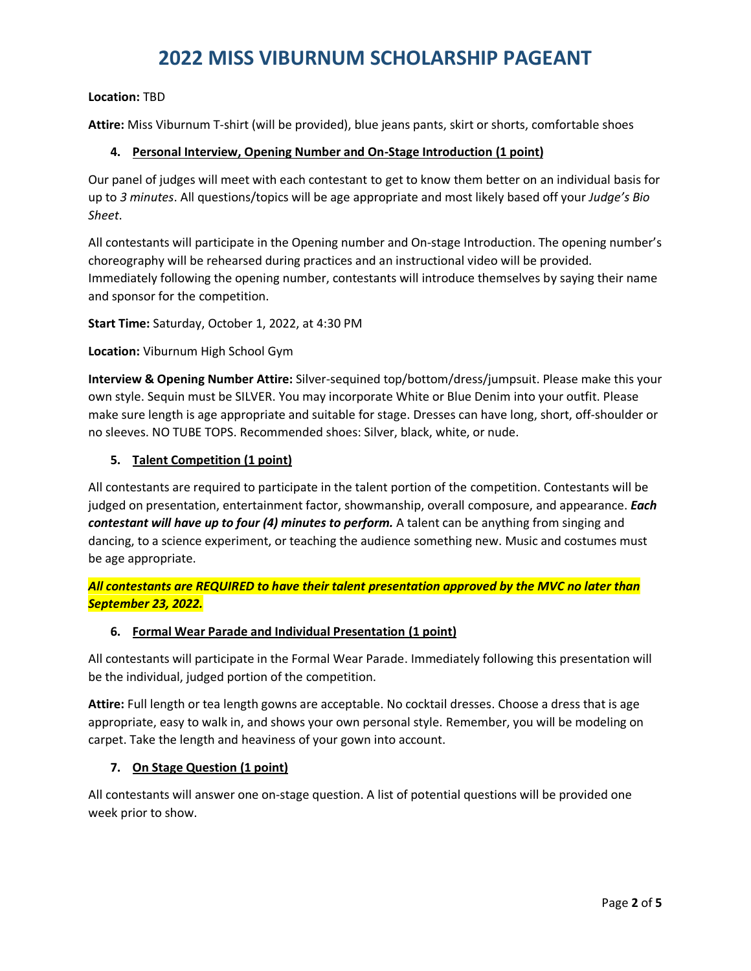#### **Location:** TBD

**Attire:** Miss Viburnum T-shirt (will be provided), blue jeans pants, skirt or shorts, comfortable shoes

#### **4. Personal Interview, Opening Number and On-Stage Introduction (1 point)**

Our panel of judges will meet with each contestant to get to know them better on an individual basis for up to *3 minutes*. All questions/topics will be age appropriate and most likely based off your *Judge's Bio Sheet*.

All contestants will participate in the Opening number and On-stage Introduction. The opening number's choreography will be rehearsed during practices and an instructional video will be provided. Immediately following the opening number, contestants will introduce themselves by saying their name and sponsor for the competition.

**Start Time:** Saturday, October 1, 2022, at 4:30 PM

**Location:** Viburnum High School Gym

**Interview & Opening Number Attire:** Silver-sequined top/bottom/dress/jumpsuit. Please make this your own style. Sequin must be SILVER. You may incorporate White or Blue Denim into your outfit. Please make sure length is age appropriate and suitable for stage. Dresses can have long, short, off-shoulder or no sleeves. NO TUBE TOPS. Recommended shoes: Silver, black, white, or nude.

#### **5. Talent Competition (1 point)**

All contestants are required to participate in the talent portion of the competition. Contestants will be judged on presentation, entertainment factor, showmanship, overall composure, and appearance. *Each contestant will have up to four (4) minutes to perform.* A talent can be anything from singing and dancing, to a science experiment, or teaching the audience something new. Music and costumes must be age appropriate.

*All contestants are REQUIRED to have their talent presentation approved by the MVC no later than September 23, 2022.*

#### **6. Formal Wear Parade and Individual Presentation (1 point)**

All contestants will participate in the Formal Wear Parade. Immediately following this presentation will be the individual, judged portion of the competition.

**Attire:** Full length or tea length gowns are acceptable. No cocktail dresses. Choose a dress that is age appropriate, easy to walk in, and shows your own personal style. Remember, you will be modeling on carpet. Take the length and heaviness of your gown into account.

#### **7. On Stage Question (1 point)**

All contestants will answer one on-stage question. A list of potential questions will be provided one week prior to show.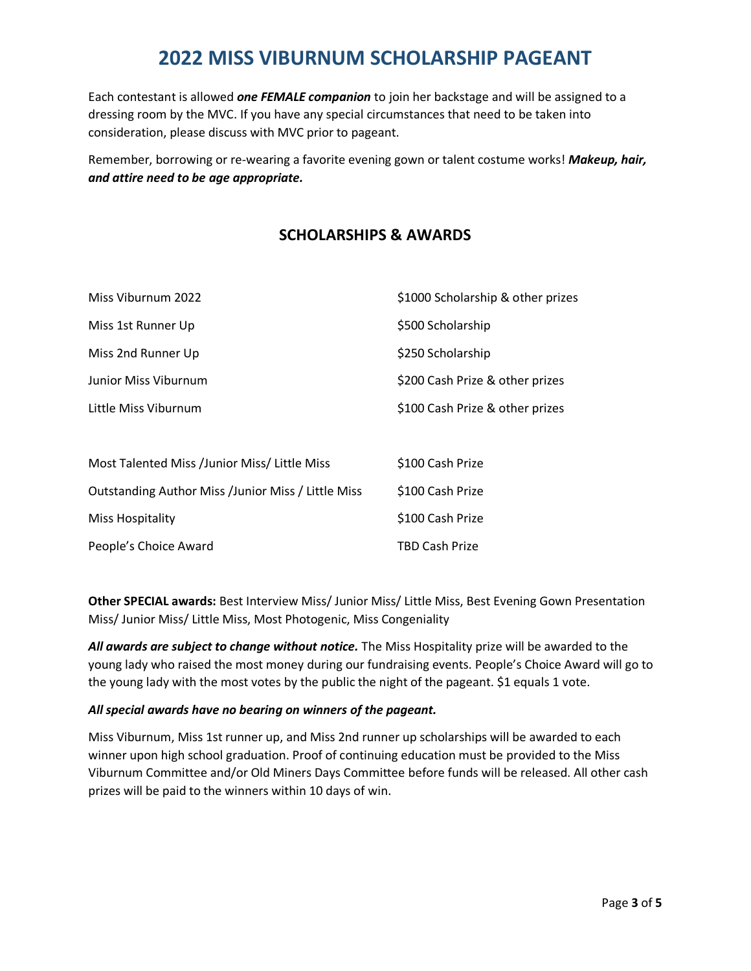Each contestant is allowed *one FEMALE companion* to join her backstage and will be assigned to a dressing room by the MVC. If you have any special circumstances that need to be taken into consideration, please discuss with MVC prior to pageant.

Remember, borrowing or re-wearing a favorite evening gown or talent costume works! *Makeup, hair, and attire need to be age appropriate.*

### **SCHOLARSHIPS & AWARDS**

| Miss Viburnum 2022   | \$1000 Scholarship & other prizes |  |
|----------------------|-----------------------------------|--|
| Miss 1st Runner Up   | \$500 Scholarship                 |  |
| Miss 2nd Runner Up   | \$250 Scholarship                 |  |
| Junior Miss Viburnum | \$200 Cash Prize & other prizes   |  |
| Little Miss Viburnum | \$100 Cash Prize & other prizes   |  |
|                      |                                   |  |

| Most Talented Miss /Junior Miss/ Little Miss              | \$100 Cash Prize      |
|-----------------------------------------------------------|-----------------------|
| <b>Outstanding Author Miss /Junior Miss / Little Miss</b> | \$100 Cash Prize      |
| Miss Hospitality                                          | \$100 Cash Prize      |
| People's Choice Award                                     | <b>TBD Cash Prize</b> |

**Other SPECIAL awards:** Best Interview Miss/ Junior Miss/ Little Miss, Best Evening Gown Presentation Miss/ Junior Miss/ Little Miss, Most Photogenic, Miss Congeniality

*All awards are subject to change without notice.* The Miss Hospitality prize will be awarded to the young lady who raised the most money during our fundraising events. People's Choice Award will go to the young lady with the most votes by the public the night of the pageant. \$1 equals 1 vote.

#### *All special awards have no bearing on winners of the pageant.*

Miss Viburnum, Miss 1st runner up, and Miss 2nd runner up scholarships will be awarded to each winner upon high school graduation. Proof of continuing education must be provided to the Miss Viburnum Committee and/or Old Miners Days Committee before funds will be released. All other cash prizes will be paid to the winners within 10 days of win.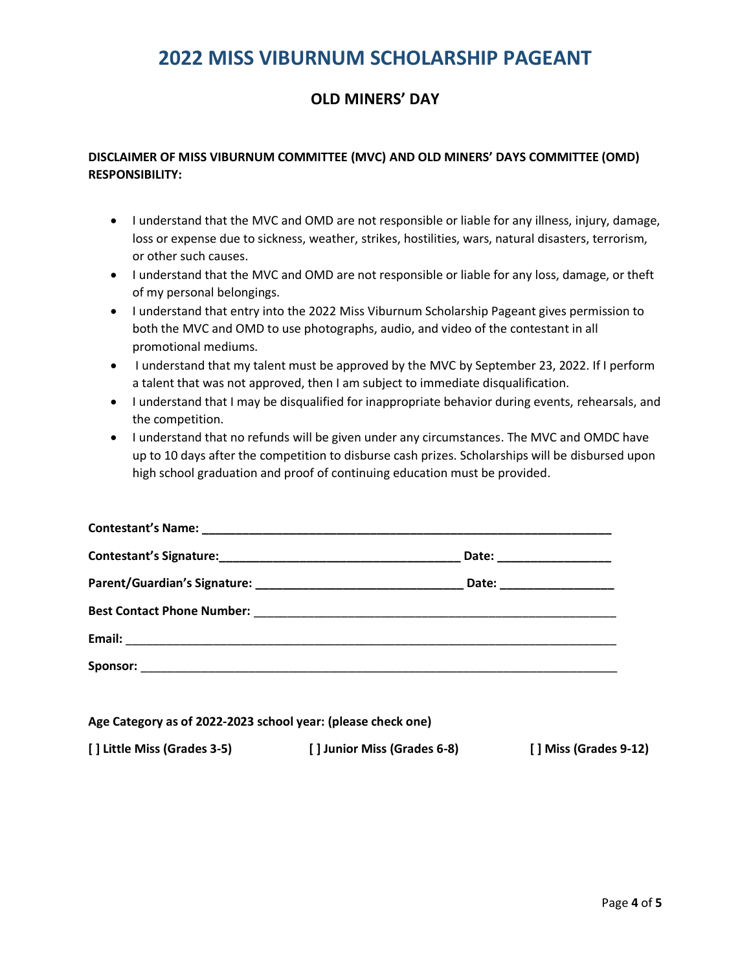### **OLD MINERS' DAY**

#### **DISCLAIMER OF MISS VIBURNUM COMMITTEE (MVC) AND OLD MINERS' DAYS COMMITTEE (OMD) RESPONSIBILITY:**

- I understand that the MVC and OMD are not responsible or liable for any illness, injury, damage, loss or expense due to sickness, weather, strikes, hostilities, wars, natural disasters, terrorism, or other such causes.
- I understand that the MVC and OMD are not responsible or liable for any loss, damage, or theft of my personal belongings.
- I understand that entry into the 2022 Miss Viburnum Scholarship Pageant gives permission to both the MVC and OMD to use photographs, audio, and video of the contestant in all promotional mediums.
- I understand that my talent must be approved by the MVC by September 23, 2022. If I perform a talent that was not approved, then I am subject to immediate disqualification.
- I understand that I may be disqualified for inappropriate behavior during events, rehearsals, and the competition.
- I understand that no refunds will be given under any circumstances. The MVC and OMDC have up to 10 days after the competition to disburse cash prizes. Scholarships will be disbursed upon high school graduation and proof of continuing education must be provided.

| Date: __________________   |
|----------------------------|
| Date: ____________________ |
|                            |
|                            |
|                            |

**Age Category as of 2022-2023 school year: (please check one)**

**[ ] Little Miss (Grades 3-5) [ ] Junior Miss (Grades 6-8) [ ] Miss (Grades 9-12)**